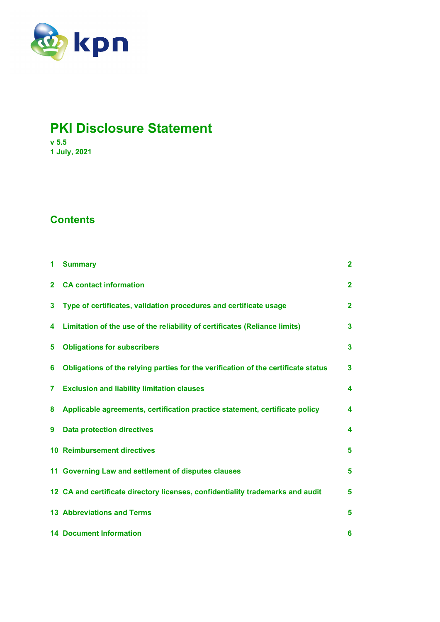

# **PKI Disclosure Statement**

**v 5.5 1 July, 2021** 

# **Contents**

| 1              | <b>Summary</b>                                                                    | $\overline{2}$ |
|----------------|-----------------------------------------------------------------------------------|----------------|
| $\overline{2}$ | <b>CA contact information</b>                                                     | $\mathbf{2}$   |
| 3              | Type of certificates, validation procedures and certificate usage                 | $\overline{2}$ |
| 4              | Limitation of the use of the reliability of certificates (Reliance limits)        | $\mathbf{3}$   |
| 5              | <b>Obligations for subscribers</b>                                                | $\mathbf{3}$   |
| 6              | Obligations of the relying parties for the verification of the certificate status | 3              |
| 7              | <b>Exclusion and liability limitation clauses</b>                                 | 4              |
| 8              | Applicable agreements, certification practice statement, certificate policy       | 4              |
| 9              | <b>Data protection directives</b>                                                 | 4              |
|                | <b>10 Reimbursement directives</b>                                                | 5              |
|                | 11 Governing Law and settlement of disputes clauses                               | 5              |
|                | 12 CA and certificate directory licenses, confidentiality trademarks and audit    | 5              |
|                | <b>13 Abbreviations and Terms</b>                                                 | 5              |
|                | <b>14 Document Information</b>                                                    | 6              |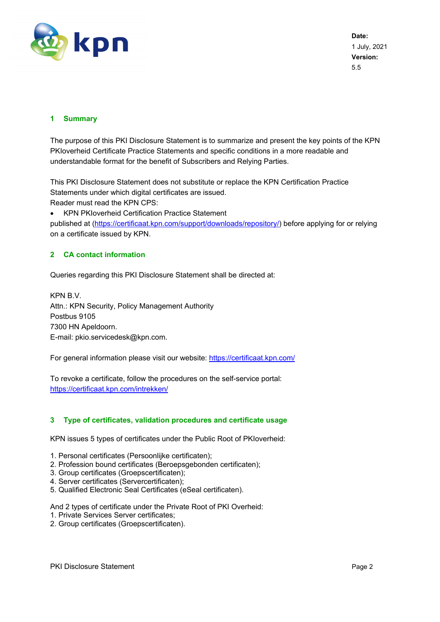

**Date:**  1 July, 2021 **Version:**  5.5

# **1 Summary**

The purpose of this PKI Disclosure Statement is to summarize and present the key points of the KPN PKIoverheid Certificate Practice Statements and specific conditions in a more readable and understandable format for the benefit of Subscribers and Relying Parties.

This PKI Disclosure Statement does not substitute or replace the KPN Certification Practice Statements under which digital certificates are issued. Reader must read the KPN CPS:

KPN PKIoverheid Certification Practice Statement

published at (https://certificaat.kpn.com/support/downloads/repository/) before applying for or relying on a certificate issued by KPN.

# **2 CA contact information**

Queries regarding this PKI Disclosure Statement shall be directed at:

KPN B.V. Attn.: KPN Security, Policy Management Authority Postbus 9105 7300 HN Apeldoorn. E-mail: pkio.servicedesk@kpn.com.

For general information please visit our website: https://certificaat.kpn.com/

To revoke a certificate, follow the procedures on the self-service portal: https://certificaat.kpn.com/intrekken/

#### **3 Type of certificates, validation procedures and certificate usage**

KPN issues 5 types of certificates under the Public Root of PKIoverheid:

- 1. Personal certificates (Persoonlijke certificaten);
- 2. Profession bound certificates (Beroepsgebonden certificaten);
- 3. Group certificates (Groepscertificaten);
- 4. Server certificates (Servercertificaten);
- 5. Qualified Electronic Seal Certificates (eSeal certificaten).

And 2 types of certificate under the Private Root of PKI Overheid:

- 1. Private Services Server certificates;
- 2. Group certificates (Groepscertificaten).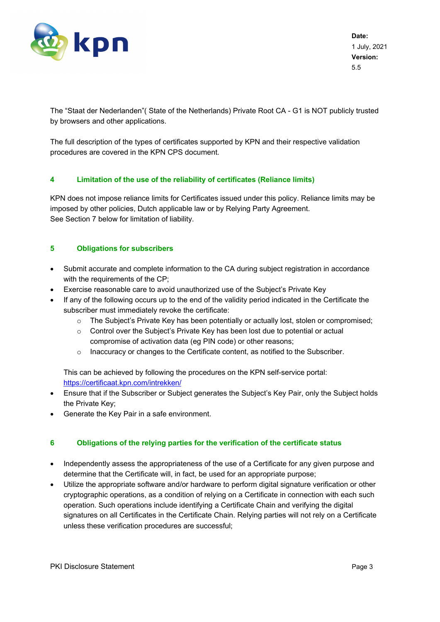

The "Staat der Nederlanden"( State of the Netherlands) Private Root CA - G1 is NOT publicly trusted by browsers and other applications.

The full description of the types of certificates supported by KPN and their respective validation procedures are covered in the KPN CPS document.

# **4 Limitation of the use of the reliability of certificates (Reliance limits)**

KPN does not impose reliance limits for Certificates issued under this policy. Reliance limits may be imposed by other policies, Dutch applicable law or by Relying Party Agreement. See Section 7 below for limitation of liability.

# **5 Obligations for subscribers**

- Submit accurate and complete information to the CA during subject registration in accordance with the requirements of the CP;
- Exercise reasonable care to avoid unauthorized use of the Subject's Private Key
- If any of the following occurs up to the end of the validity period indicated in the Certificate the subscriber must immediately revoke the certificate:
	- $\circ$  The Subject's Private Key has been potentially or actually lost, stolen or compromised;
	- $\circ$  Control over the Subject's Private Key has been lost due to potential or actual compromise of activation data (eg PIN code) or other reasons;
	- $\circ$  Inaccuracy or changes to the Certificate content, as notified to the Subscriber.

This can be achieved by following the procedures on the KPN self-service portal: https://certificaat.kpn.com/intrekken/

- Ensure that if the Subscriber or Subject generates the Subject's Key Pair, only the Subject holds the Private Key;
- Generate the Key Pair in a safe environment.

#### **6 Obligations of the relying parties for the verification of the certificate status**

- Independently assess the appropriateness of the use of a Certificate for any given purpose and determine that the Certificate will, in fact, be used for an appropriate purpose;
- Utilize the appropriate software and/or hardware to perform digital signature verification or other cryptographic operations, as a condition of relying on a Certificate in connection with each such operation. Such operations include identifying a Certificate Chain and verifying the digital signatures on all Certificates in the Certificate Chain. Relying parties will not rely on a Certificate unless these verification procedures are successful;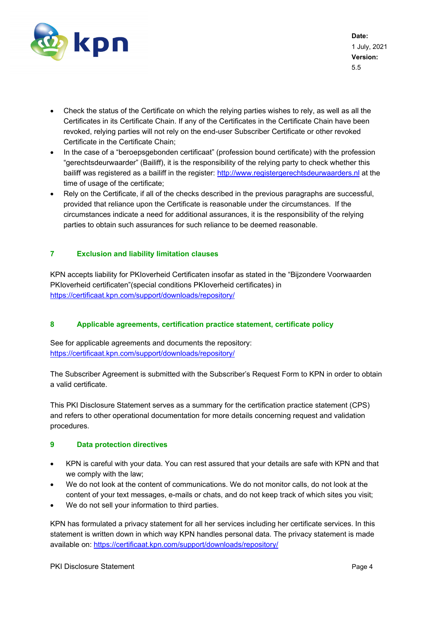

**Date:**  1 July, 2021 **Version:**  5.5

- Check the status of the Certificate on which the relying parties wishes to rely, as well as all the Certificates in its Certificate Chain. If any of the Certificates in the Certificate Chain have been revoked, relying parties will not rely on the end-user Subscriber Certificate or other revoked Certificate in the Certificate Chain;
- In the case of a "beroepsgebonden certificaat" (profession bound certificate) with the profession "gerechtsdeurwaarder" (Bailiff), it is the responsibility of the relying party to check whether this bailiff was registered as a bailiff in the register: http://www.registergerechtsdeurwaarders.nl at the time of usage of the certificate;
- Rely on the Certificate, if all of the checks described in the previous paragraphs are successful, provided that reliance upon the Certificate is reasonable under the circumstances. If the circumstances indicate a need for additional assurances, it is the responsibility of the relying parties to obtain such assurances for such reliance to be deemed reasonable.

# **7 Exclusion and liability limitation clauses**

KPN accepts liability for PKIoverheid Certificaten insofar as stated in the "Bijzondere Voorwaarden PKIoverheid certificaten"(special conditions PKIoverheid certificates) in https://certificaat.kpn.com/support/downloads/repository/

#### **8 Applicable agreements, certification practice statement, certificate policy**

See for applicable agreements and documents the repository: https://certificaat.kpn.com/support/downloads/repository/

The Subscriber Agreement is submitted with the Subscriber's Request Form to KPN in order to obtain a valid certificate.

This PKI Disclosure Statement serves as a summary for the certification practice statement (CPS) and refers to other operational documentation for more details concerning request and validation procedures.

#### **9 Data protection directives**

- KPN is careful with your data. You can rest assured that your details are safe with KPN and that we comply with the law;
- We do not look at the content of communications. We do not monitor calls, do not look at the content of your text messages, e-mails or chats, and do not keep track of which sites you visit;
- We do not sell your information to third parties.

KPN has formulated a privacy statement for all her services including her certificate services. In this statement is written down in which way KPN handles personal data. The privacy statement is made available on: https://certificaat.kpn.com/support/downloads/repository/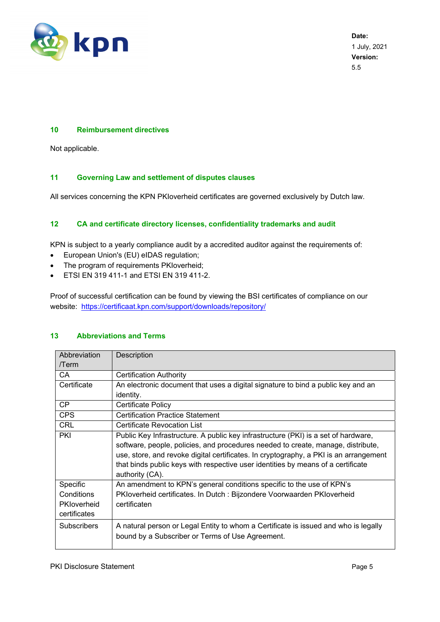

**Date:**  1 July, 2021 **Version:**  5.5

#### **10 Reimbursement directives**

Not applicable.

#### **11 Governing Law and settlement of disputes clauses**

All services concerning the KPN PKIoverheid certificates are governed exclusively by Dutch law.

#### **12 CA and certificate directory licenses, confidentiality trademarks and audit**

KPN is subject to a yearly compliance audit by a accredited auditor against the requirements of:

- European Union's (EU) eIDAS regulation;
- The program of requirements PKIoverheid;
- ETSI EN 319 411-1 and ETSI EN 319 411-2.

Proof of successful certification can be found by viewing the BSI certificates of compliance on our website: https://certificaat.kpn.com/support/downloads/repository/

| Abbreviation                                          | Description                                                                                                                                                                                                                                                                                                                                                            |  |  |  |  |
|-------------------------------------------------------|------------------------------------------------------------------------------------------------------------------------------------------------------------------------------------------------------------------------------------------------------------------------------------------------------------------------------------------------------------------------|--|--|--|--|
| /Term                                                 |                                                                                                                                                                                                                                                                                                                                                                        |  |  |  |  |
| CA                                                    | <b>Certification Authority</b>                                                                                                                                                                                                                                                                                                                                         |  |  |  |  |
| Certificate                                           | An electronic document that uses a digital signature to bind a public key and an                                                                                                                                                                                                                                                                                       |  |  |  |  |
|                                                       | identity.                                                                                                                                                                                                                                                                                                                                                              |  |  |  |  |
| <b>CP</b>                                             | Certificate Policy                                                                                                                                                                                                                                                                                                                                                     |  |  |  |  |
| <b>CPS</b>                                            | <b>Certification Practice Statement</b>                                                                                                                                                                                                                                                                                                                                |  |  |  |  |
| <b>CRL</b>                                            | Certificate Revocation List                                                                                                                                                                                                                                                                                                                                            |  |  |  |  |
| PKI                                                   | Public Key Infrastructure. A public key infrastructure (PKI) is a set of hardware,<br>software, people, policies, and procedures needed to create, manage, distribute,<br>use, store, and revoke digital certificates. In cryptography, a PKI is an arrangement<br>that binds public keys with respective user identities by means of a certificate<br>authority (CA). |  |  |  |  |
| Specific<br>Conditions<br>PKloverheid<br>certificates | An amendment to KPN's general conditions specific to the use of KPN's<br>PKloverheid certificates. In Dutch: Bijzondere Voorwaarden PKloverheid<br>certificaten                                                                                                                                                                                                        |  |  |  |  |
| <b>Subscribers</b>                                    | A natural person or Legal Entity to whom a Certificate is issued and who is legally<br>bound by a Subscriber or Terms of Use Agreement.                                                                                                                                                                                                                                |  |  |  |  |

# **13 Abbreviations and Terms**